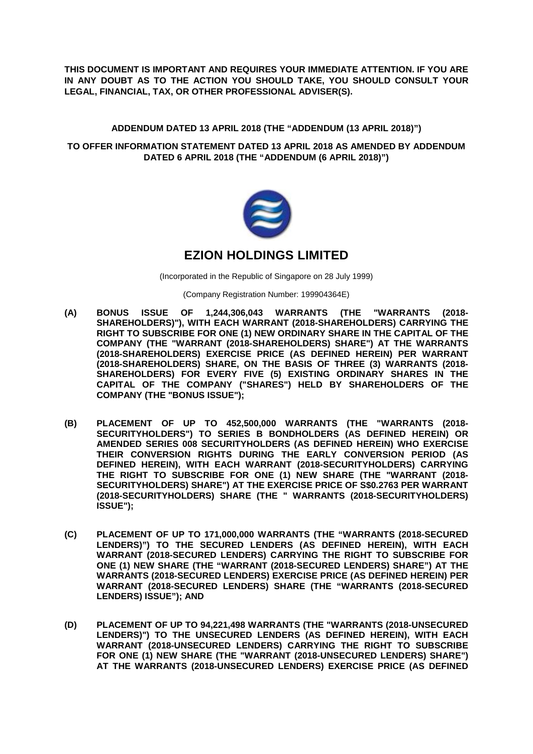**THIS DOCUMENT IS IMPORTANT AND REQUIRES YOUR IMMEDIATE ATTENTION. IF YOU ARE IN ANY DOUBT AS TO THE ACTION YOU SHOULD TAKE, YOU SHOULD CONSULT YOUR LEGAL, FINANCIAL, TAX, OR OTHER PROFESSIONAL ADVISER(S).** 

## **ADDENDUM DATED 13 APRIL 2018 (THE "ADDENDUM (13 APRIL 2018)")**

## **TO OFFER INFORMATION STATEMENT DATED 13 APRIL 2018 AS AMENDED BY ADDENDUM DATED 6 APRIL 2018 (THE "ADDENDUM (6 APRIL 2018)")**



# **EZION HOLDINGS LIMITED**

(Incorporated in the Republic of Singapore on 28 July 1999)

(Company Registration Number: 199904364E)

- **(A) BONUS ISSUE OF 1,244,306,043 WARRANTS (THE "WARRANTS (2018- SHAREHOLDERS)"), WITH EACH WARRANT (2018-SHAREHOLDERS) CARRYING THE RIGHT TO SUBSCRIBE FOR ONE (1) NEW ORDINARY SHARE IN THE CAPITAL OF THE COMPANY (THE "WARRANT (2018-SHAREHOLDERS) SHARE") AT THE WARRANTS (2018-SHAREHOLDERS) EXERCISE PRICE (AS DEFINED HEREIN) PER WARRANT (2018-SHAREHOLDERS) SHARE, ON THE BASIS OF THREE (3) WARRANTS (2018- SHAREHOLDERS) FOR EVERY FIVE (5) EXISTING ORDINARY SHARES IN THE CAPITAL OF THE COMPANY ("SHARES") HELD BY SHAREHOLDERS OF THE COMPANY (THE "BONUS ISSUE");**
- **(B) PLACEMENT OF UP TO 452,500,000 WARRANTS (THE "WARRANTS (2018- SECURITYHOLDERS") TO SERIES B BONDHOLDERS (AS DEFINED HEREIN) OR AMENDED SERIES 008 SECURITYHOLDERS (AS DEFINED HEREIN) WHO EXERCISE THEIR CONVERSION RIGHTS DURING THE EARLY CONVERSION PERIOD (AS DEFINED HEREIN), WITH EACH WARRANT (2018-SECURITYHOLDERS) CARRYING THE RIGHT TO SUBSCRIBE FOR ONE (1) NEW SHARE (THE "WARRANT (2018- SECURITYHOLDERS) SHARE") AT THE EXERCISE PRICE OF S\$0.2763 PER WARRANT (2018-SECURITYHOLDERS) SHARE (THE " WARRANTS (2018-SECURITYHOLDERS) ISSUE");**
- **(C) PLACEMENT OF UP TO 171,000,000 WARRANTS (THE "WARRANTS (2018-SECURED LENDERS)") TO THE SECURED LENDERS (AS DEFINED HEREIN), WITH EACH WARRANT (2018-SECURED LENDERS) CARRYING THE RIGHT TO SUBSCRIBE FOR ONE (1) NEW SHARE (THE "WARRANT (2018-SECURED LENDERS) SHARE") AT THE WARRANTS (2018-SECURED LENDERS) EXERCISE PRICE (AS DEFINED HEREIN) PER WARRANT (2018-SECURED LENDERS) SHARE (THE "WARRANTS (2018-SECURED LENDERS) ISSUE"); AND**
- **(D) PLACEMENT OF UP TO 94,221,498 WARRANTS (THE "WARRANTS (2018-UNSECURED LENDERS)") TO THE UNSECURED LENDERS (AS DEFINED HEREIN), WITH EACH WARRANT (2018-UNSECURED LENDERS) CARRYING THE RIGHT TO SUBSCRIBE FOR ONE (1) NEW SHARE (THE "WARRANT (2018-UNSECURED LENDERS) SHARE") AT THE WARRANTS (2018-UNSECURED LENDERS) EXERCISE PRICE (AS DEFINED**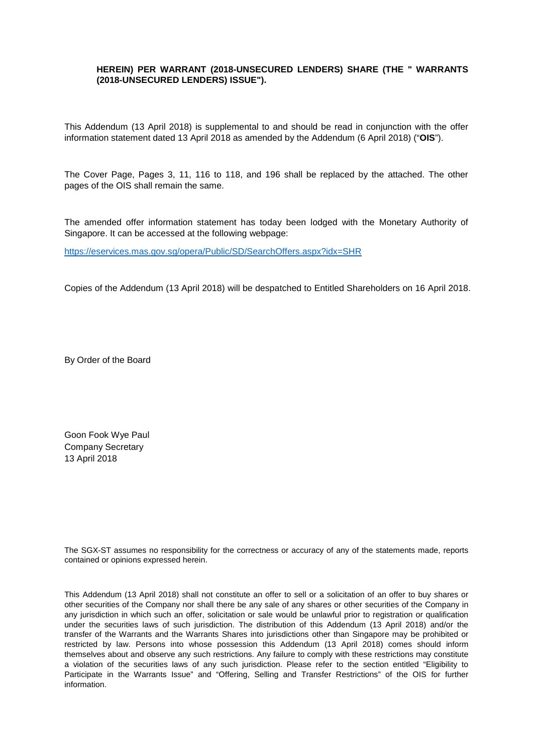## **HEREIN) PER WARRANT (2018-UNSECURED LENDERS) SHARE (THE " WARRANTS (2018-UNSECURED LENDERS) ISSUE").**

This Addendum (13 April 2018) is supplemental to and should be read in conjunction with the offer information statement dated 13 April 2018 as amended by the Addendum (6 April 2018) ("**OIS**").

The Cover Page, Pages 3, 11, 116 to 118, and 196 shall be replaced by the attached. The other pages of the OIS shall remain the same.

The amended offer information statement has today been lodged with the Monetary Authority of Singapore. It can be accessed at the following webpage:

https://eservices.mas.gov.sg/opera/Public/SD/SearchOffers.aspx?idx=SHR

Copies of the Addendum (13 April 2018) will be despatched to Entitled Shareholders on 16 April 2018.

By Order of the Board

Goon Fook Wye Paul Company Secretary 13 April 2018

The SGX-ST assumes no responsibility for the correctness or accuracy of any of the statements made, reports contained or opinions expressed herein.

This Addendum (13 April 2018) shall not constitute an offer to sell or a solicitation of an offer to buy shares or other securities of the Company nor shall there be any sale of any shares or other securities of the Company in any jurisdiction in which such an offer, solicitation or sale would be unlawful prior to registration or qualification under the securities laws of such jurisdiction. The distribution of this Addendum (13 April 2018) and/or the transfer of the Warrants and the Warrants Shares into jurisdictions other than Singapore may be prohibited or restricted by law. Persons into whose possession this Addendum (13 April 2018) comes should inform themselves about and observe any such restrictions. Any failure to comply with these restrictions may constitute a violation of the securities laws of any such jurisdiction. Please refer to the section entitled "Eligibility to Participate in the Warrants Issue" and "Offering, Selling and Transfer Restrictions" of the OIS for further information.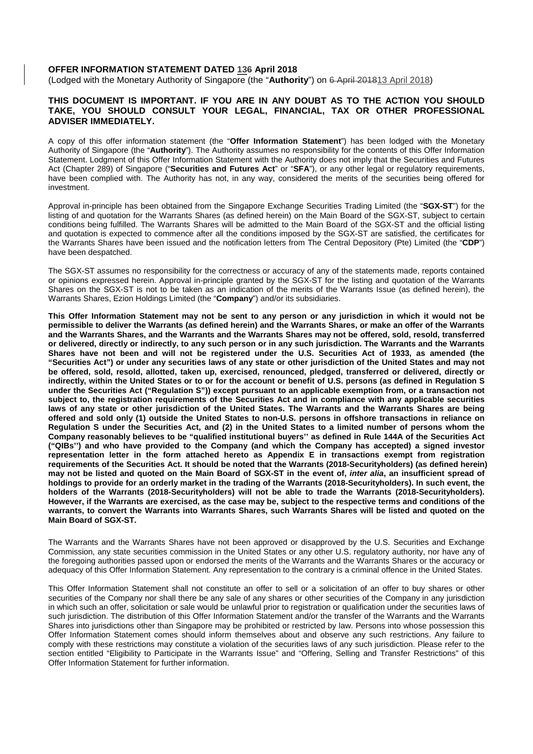#### **OFFER INFORMATION STATEMENT DATED 136 April 2018**

(Lodged with the Monetary Authority of Singapore (the "**Authority**") on 6 April 201813 April 2018)

#### **THIS DOCUMENT IS IMPORTANT. IF YOU ARE IN ANY DOUBT AS TO THE ACTION YOU SHOULD TAKE, YOU SHOULD CONSULT YOUR LEGAL, FINANCIAL, TAX OR OTHER PROFESSIONAL ADVISER IMMEDIATELY.**

A copy of this offer information statement (the "**Offer Information Statement**") has been lodged with the Monetary Authority of Singapore (the "**Authority**"). The Authority assumes no responsibility for the contents of this Offer Information Statement. Lodgment of this Offer Information Statement with the Authority does not imply that the Securities and Futures Act (Chapter 289) of Singapore ("**Securities and Futures Act**" or "**SFA**"), or any other legal or regulatory requirements, have been complied with. The Authority has not, in any way, considered the merits of the securities being offered for investment.

Approval in-principle has been obtained from the Singapore Exchange Securities Trading Limited (the "**SGX-ST**") for the listing of and quotation for the Warrants Shares (as defined herein) on the Main Board of the SGX-ST, subject to certain conditions being fulfilled. The Warrants Shares will be admitted to the Main Board of the SGX-ST and the official listing and quotation is expected to commence after all the conditions imposed by the SGX-ST are satisfied, the certificates for the Warrants Shares have been issued and the notification letters from The Central Depository (Pte) Limited (the "**CDP**") have been despatched.

The SGX-ST assumes no responsibility for the correctness or accuracy of any of the statements made, reports contained or opinions expressed herein. Approval in-principle granted by the SGX-ST for the listing and quotation of the Warrants Shares on the SGX-ST is not to be taken as an indication of the merits of the Warrants Issue (as defined herein), the Warrants Shares, Ezion Holdings Limited (the "**Company**") and/or its subsidiaries.

**This Offer Information Statement may not be sent to any person or any jurisdiction in which it would not be permissible to deliver the Warrants (as defined herein) and the Warrants Shares, or make an offer of the Warrants and the Warrants Shares, and the Warrants and the Warrants Shares may not be offered, sold, resold, transferred or delivered, directly or indirectly, to any such person or in any such jurisdiction. The Warrants and the Warrants Shares have not been and will not be registered under the U.S. Securities Act of 1933, as amended (the "Securities Act") or under any securities laws of any state or other jurisdiction of the United States and may not be offered, sold, resold, allotted, taken up, exercised, renounced, pledged, transferred or delivered, directly or indirectly, within the United States or to or for the account or benefit of U.S. persons (as defined in Regulation S under the Securities Act ("Regulation S")) except pursuant to an applicable exemption from, or a transaction not subject to, the registration requirements of the Securities Act and in compliance with any applicable securities laws of any state or other jurisdiction of the United States. The Warrants and the Warrants Shares are being offered and sold only (1) outside the United States to non-U.S. persons in offshore transactions in reliance on Regulation S under the Securities Act, and (2) in the United States to a limited number of persons whom the Company reasonably believes to be "qualified institutional buyers'' as defined in Rule 144A of the Securities Act ("QIBs'') and who have provided to the Company (and which the Company has accepted) a signed investor representation letter in the form attached hereto as Appendix E in transactions exempt from registration requirements of the Securities Act. It should be noted that the Warrants (2018-Securityholders) (as defined herein) may not be listed and quoted on the Main Board of SGX-ST in the event of,** *inter alia***, an insufficient spread of holdings to provide for an orderly market in the trading of the Warrants (2018-Securityholders). In such event, the holders of the Warrants (2018-Securityholders) will not be able to trade the Warrants (2018-Securityholders). However, if the Warrants are exercised, as the case may be, subject to the respective terms and conditions of the warrants, to convert the Warrants into Warrants Shares, such Warrants Shares will be listed and quoted on the Main Board of SGX-ST.** 

The Warrants and the Warrants Shares have not been approved or disapproved by the U.S. Securities and Exchange Commission, any state securities commission in the United States or any other U.S. regulatory authority, nor have any of the foregoing authorities passed upon or endorsed the merits of the Warrants and the Warrants Shares or the accuracy or adequacy of this Offer Information Statement. Any representation to the contrary is a criminal offence in the United States.

This Offer Information Statement shall not constitute an offer to sell or a solicitation of an offer to buy shares or other securities of the Company nor shall there be any sale of any shares or other securities of the Company in any jurisdiction in which such an offer, solicitation or sale would be unlawful prior to registration or qualification under the securities laws of such iurisdiction. The distribution of this Offer Information Statement and/or the transfer of the Warrants and the Warrants Shares into jurisdictions other than Singapore may be prohibited or restricted by law. Persons into whose possession this Offer Information Statement comes should inform themselves about and observe any such restrictions. Any failure to comply with these restrictions may constitute a violation of the securities laws of any such jurisdiction. Please refer to the section entitled "Eligibility to Participate in the Warrants Issue" and "Offering, Selling and Transfer Restrictions" of this Offer Information Statement for further information.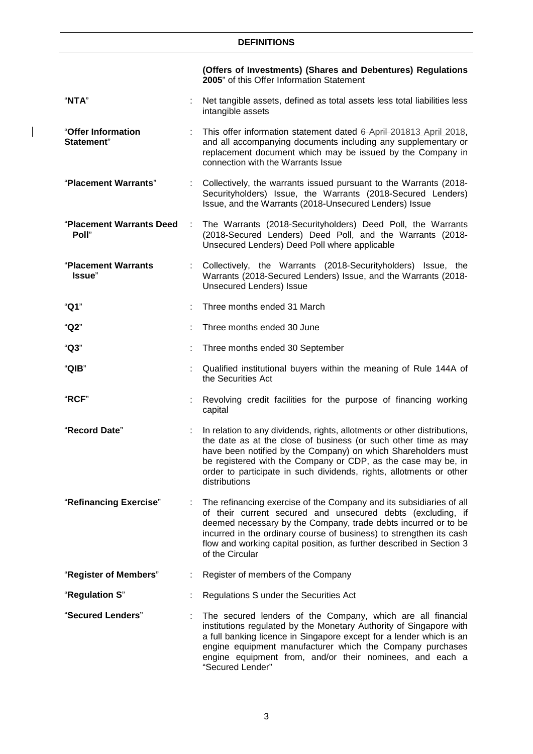# **DEFINITIONS**

 $\overline{\phantom{a}}$ 

|                                   |   | (Offers of Investments) (Shares and Debentures) Regulations<br>2005" of this Offer Information Statement                                                                                                                                                                                                                                                               |  |
|-----------------------------------|---|------------------------------------------------------------------------------------------------------------------------------------------------------------------------------------------------------------------------------------------------------------------------------------------------------------------------------------------------------------------------|--|
| "NTA"                             |   | Net tangible assets, defined as total assets less total liabilities less<br>intangible assets                                                                                                                                                                                                                                                                          |  |
| "Offer Information<br>Statement"  |   | This offer information statement dated 6 April 201813 April 2018,<br>and all accompanying documents including any supplementary or<br>replacement document which may be issued by the Company in<br>connection with the Warrants Issue                                                                                                                                 |  |
| "Placement Warrants"              |   | Collectively, the warrants issued pursuant to the Warrants (2018-<br>Securityholders) Issue, the Warrants (2018-Secured Lenders)<br>Issue, and the Warrants (2018-Unsecured Lenders) Issue                                                                                                                                                                             |  |
| "Placement Warrants Deed<br>Poll" | ÷ | The Warrants (2018-Securityholders) Deed Poll, the Warrants<br>(2018-Secured Lenders) Deed Poll, and the Warrants (2018-<br>Unsecured Lenders) Deed Poll where applicable                                                                                                                                                                                              |  |
| "Placement Warrants<br>Issue"     | ÷ | Collectively, the Warrants (2018-Securityholders) Issue, the<br>Warrants (2018-Secured Lenders) Issue, and the Warrants (2018-<br><b>Unsecured Lenders) Issue</b>                                                                                                                                                                                                      |  |
| "Q1"                              |   | Three months ended 31 March                                                                                                                                                                                                                                                                                                                                            |  |
| "Q2"                              |   | Three months ended 30 June                                                                                                                                                                                                                                                                                                                                             |  |
| "Q3"                              |   | Three months ended 30 September                                                                                                                                                                                                                                                                                                                                        |  |
| "QIB"                             |   | Qualified institutional buyers within the meaning of Rule 144A of<br>the Securities Act                                                                                                                                                                                                                                                                                |  |
| "RCF"                             |   | Revolving credit facilities for the purpose of financing working<br>capital                                                                                                                                                                                                                                                                                            |  |
| "Record Date"                     |   | In relation to any dividends, rights, allotments or other distributions,<br>the date as at the close of business (or such other time as may<br>have been notified by the Company) on which Shareholders must<br>be registered with the Company or CDP, as the case may be, in<br>order to participate in such dividends, rights, allotments or other<br>distributions  |  |
| "Refinancing Exercise"            |   | The refinancing exercise of the Company and its subsidiaries of all<br>of their current secured and unsecured debts (excluding, if<br>deemed necessary by the Company, trade debts incurred or to be<br>incurred in the ordinary course of business) to strengthen its cash<br>flow and working capital position, as further described in Section 3<br>of the Circular |  |
| "Register of Members"             |   | Register of members of the Company                                                                                                                                                                                                                                                                                                                                     |  |
| "Regulation S"                    |   | Regulations S under the Securities Act                                                                                                                                                                                                                                                                                                                                 |  |
| "Secured Lenders"                 |   | The secured lenders of the Company, which are all financial<br>institutions regulated by the Monetary Authority of Singapore with<br>a full banking licence in Singapore except for a lender which is an<br>engine equipment manufacturer which the Company purchases<br>engine equipment from, and/or their nominees, and each a<br>"Secured Lender"                  |  |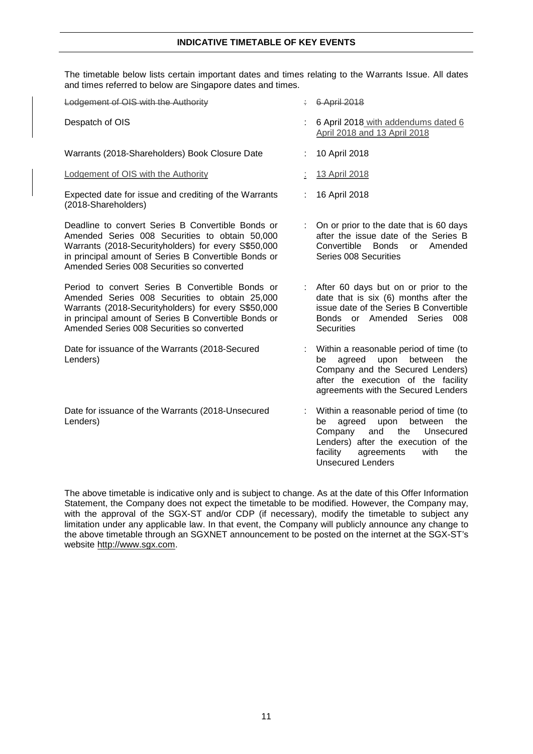#### **INDICATIVE TIMETABLE OF KEY EVENTS**

The timetable below lists certain important dates and times relating to the Warrants Issue. All dates and times referred to below are Singapore dates and times.

| Lodgement of OIS with the Authority                                                                                                                                                                                                                              |   | 6 April 2018                                                                                                                                                                                                                       |
|------------------------------------------------------------------------------------------------------------------------------------------------------------------------------------------------------------------------------------------------------------------|---|------------------------------------------------------------------------------------------------------------------------------------------------------------------------------------------------------------------------------------|
| Despatch of OIS                                                                                                                                                                                                                                                  |   | 6 April 2018 with addendums dated 6<br>April 2018 and 13 April 2018                                                                                                                                                                |
| Warrants (2018-Shareholders) Book Closure Date                                                                                                                                                                                                                   |   | 10 April 2018                                                                                                                                                                                                                      |
| Lodgement of OIS with the Authority                                                                                                                                                                                                                              |   | 13 April 2018                                                                                                                                                                                                                      |
| Expected date for issue and crediting of the Warrants<br>(2018-Shareholders)                                                                                                                                                                                     |   | 16 April 2018                                                                                                                                                                                                                      |
| Deadline to convert Series B Convertible Bonds or<br>Amended Series 008 Securities to obtain 50,000<br>Warrants (2018-Securityholders) for every S\$50,000<br>in principal amount of Series B Convertible Bonds or<br>Amended Series 008 Securities so converted | ÷ | On or prior to the date that is 60 days<br>after the issue date of the Series B<br>Convertible<br><b>Bonds</b><br>Amended<br>or<br>Series 008 Securities                                                                           |
| Period to convert Series B Convertible Bonds or<br>Amended Series 008 Securities to obtain 25,000<br>Warrants (2018-Securityholders) for every S\$50,000<br>in principal amount of Series B Convertible Bonds or<br>Amended Series 008 Securities so converted   |   | After 60 days but on or prior to the<br>date that is six (6) months after the<br>issue date of the Series B Convertible<br>Bonds or Amended Series 008<br><b>Securities</b>                                                        |
| Date for issuance of the Warrants (2018-Secured<br>Lenders)                                                                                                                                                                                                      |   | Within a reasonable period of time (to<br>agreed<br>upon<br>between<br>be<br>the<br>Company and the Secured Lenders)<br>after the execution of the facility<br>agreements with the Secured Lenders                                 |
| Date for issuance of the Warrants (2018-Unsecured<br>Lenders)                                                                                                                                                                                                    |   | Within a reasonable period of time (to<br>between<br>agreed<br>upon<br>be<br>the<br>the<br>Company<br>and<br>Unsecured<br>Lenders) after the execution of the<br>facility<br>agreements<br>with<br>the<br><b>Unsecured Lenders</b> |

The above timetable is indicative only and is subject to change. As at the date of this Offer Information Statement, the Company does not expect the timetable to be modified. However, the Company may, with the approval of the SGX-ST and/or CDP (if necessary), modify the timetable to subject any limitation under any applicable law. In that event, the Company will publicly announce any change to the above timetable through an SGXNET announcement to be posted on the internet at the SGX-ST's website http://www.sgx.com.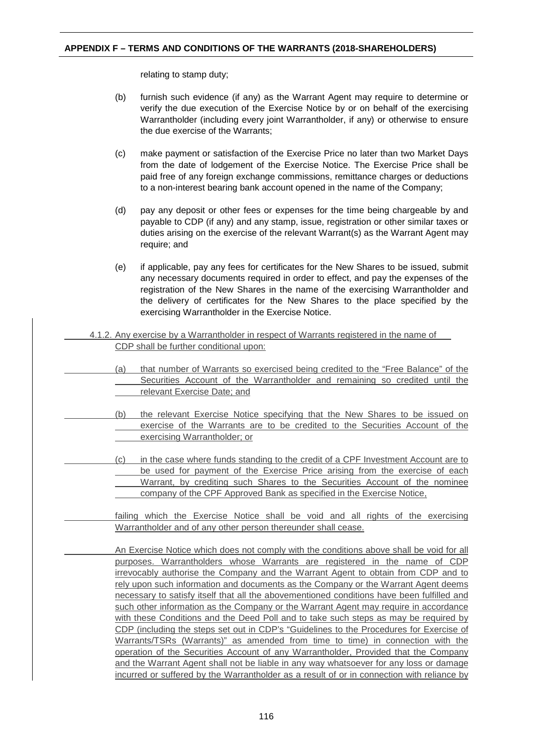# **APPENDIX F – TERMS AND CONDITIONS OF THE WARRANTS (2018-SHAREHOLDERS)**

relating to stamp duty;

- (b) furnish such evidence (if any) as the Warrant Agent may require to determine or verify the due execution of the Exercise Notice by or on behalf of the exercising Warrantholder (including every joint Warrantholder, if any) or otherwise to ensure the due exercise of the Warrants;
- (c) make payment or satisfaction of the Exercise Price no later than two Market Days from the date of lodgement of the Exercise Notice. The Exercise Price shall be paid free of any foreign exchange commissions, remittance charges or deductions to a non-interest bearing bank account opened in the name of the Company;
- (d) pay any deposit or other fees or expenses for the time being chargeable by and payable to CDP (if any) and any stamp, issue, registration or other similar taxes or duties arising on the exercise of the relevant Warrant(s) as the Warrant Agent may require; and
- (e) if applicable, pay any fees for certificates for the New Shares to be issued, submit any necessary documents required in order to effect, and pay the expenses of the registration of the New Shares in the name of the exercising Warrantholder and the delivery of certificates for the New Shares to the place specified by the exercising Warrantholder in the Exercise Notice.
- 4.1.2. Any exercise by a Warrantholder in respect of Warrants registered in the name of CDP shall be further conditional upon:
	- (a) that number of Warrants so exercised being credited to the "Free Balance" of the Securities Account of the Warrantholder and remaining so credited until the relevant Exercise Date; and
	- (b) the relevant Exercise Notice specifying that the New Shares to be issued on exercise of the Warrants are to be credited to the Securities Account of the exercising Warrantholder; or
	- (c) in the case where funds standing to the credit of a CPF Investment Account are to be used for payment of the Exercise Price arising from the exercise of each Warrant, by crediting such Shares to the Securities Account of the nominee company of the CPF Approved Bank as specified in the Exercise Notice,

failing which the Exercise Notice shall be void and all rights of the exercising Warrantholder and of any other person thereunder shall cease.

An Exercise Notice which does not comply with the conditions above shall be void for all purposes. Warrantholders whose Warrants are registered in the name of CDP irrevocably authorise the Company and the Warrant Agent to obtain from CDP and to rely upon such information and documents as the Company or the Warrant Agent deems necessary to satisfy itself that all the abovementioned conditions have been fulfilled and such other information as the Company or the Warrant Agent may require in accordance with these Conditions and the Deed Poll and to take such steps as may be required by CDP (including the steps set out in CDP's "Guidelines to the Procedures for Exercise of Warrants/TSRs (Warrants)" as amended from time to time) in connection with the operation of the Securities Account of any Warrantholder, Provided that the Company and the Warrant Agent shall not be liable in any way whatsoever for any loss or damage incurred or suffered by the Warrantholder as a result of or in connection with reliance by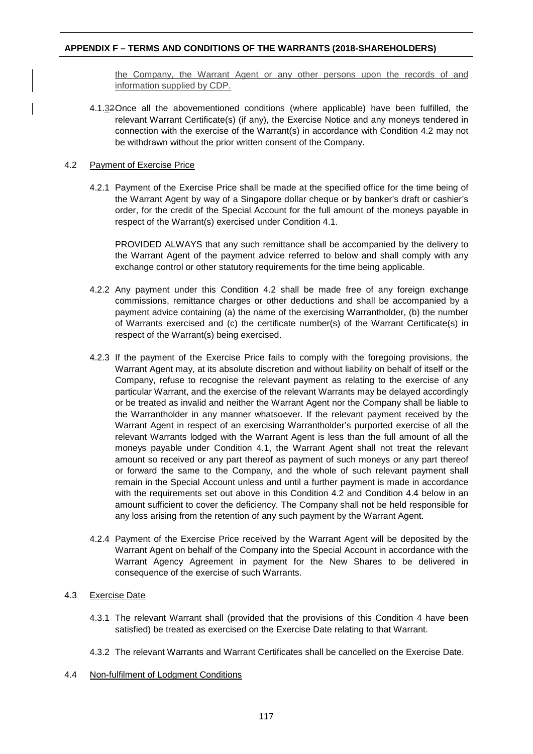# **APPENDIX F – TERMS AND CONDITIONS OF THE WARRANTS (2018-SHAREHOLDERS)**

the Company, the Warrant Agent or any other persons upon the records of and information supplied by CDP.

4.1.32 Once all the abovementioned conditions (where applicable) have been fulfilled, the relevant Warrant Certificate(s) (if any), the Exercise Notice and any moneys tendered in connection with the exercise of the Warrant(s) in accordance with Condition 4.2 may not be withdrawn without the prior written consent of the Company.

# 4.2 Payment of Exercise Price

4.2.1 Payment of the Exercise Price shall be made at the specified office for the time being of the Warrant Agent by way of a Singapore dollar cheque or by banker's draft or cashier's order, for the credit of the Special Account for the full amount of the moneys payable in respect of the Warrant(s) exercised under Condition 4.1.

PROVIDED ALWAYS that any such remittance shall be accompanied by the delivery to the Warrant Agent of the payment advice referred to below and shall comply with any exchange control or other statutory requirements for the time being applicable.

- 4.2.2 Any payment under this Condition 4.2 shall be made free of any foreign exchange commissions, remittance charges or other deductions and shall be accompanied by a payment advice containing (a) the name of the exercising Warrantholder, (b) the number of Warrants exercised and (c) the certificate number(s) of the Warrant Certificate(s) in respect of the Warrant(s) being exercised.
- 4.2.3 If the payment of the Exercise Price fails to comply with the foregoing provisions, the Warrant Agent may, at its absolute discretion and without liability on behalf of itself or the Company, refuse to recognise the relevant payment as relating to the exercise of any particular Warrant, and the exercise of the relevant Warrants may be delayed accordingly or be treated as invalid and neither the Warrant Agent nor the Company shall be liable to the Warrantholder in any manner whatsoever. If the relevant payment received by the Warrant Agent in respect of an exercising Warrantholder's purported exercise of all the relevant Warrants lodged with the Warrant Agent is less than the full amount of all the moneys payable under Condition 4.1, the Warrant Agent shall not treat the relevant amount so received or any part thereof as payment of such moneys or any part thereof or forward the same to the Company, and the whole of such relevant payment shall remain in the Special Account unless and until a further payment is made in accordance with the requirements set out above in this Condition 4.2 and Condition 4.4 below in an amount sufficient to cover the deficiency. The Company shall not be held responsible for any loss arising from the retention of any such payment by the Warrant Agent.
- 4.2.4 Payment of the Exercise Price received by the Warrant Agent will be deposited by the Warrant Agent on behalf of the Company into the Special Account in accordance with the Warrant Agency Agreement in payment for the New Shares to be delivered in consequence of the exercise of such Warrants.

# 4.3 Exercise Date

- 4.3.1 The relevant Warrant shall (provided that the provisions of this Condition 4 have been satisfied) be treated as exercised on the Exercise Date relating to that Warrant.
- 4.3.2 The relevant Warrants and Warrant Certificates shall be cancelled on the Exercise Date.
- 4.4 Non-fulfilment of Lodgment Conditions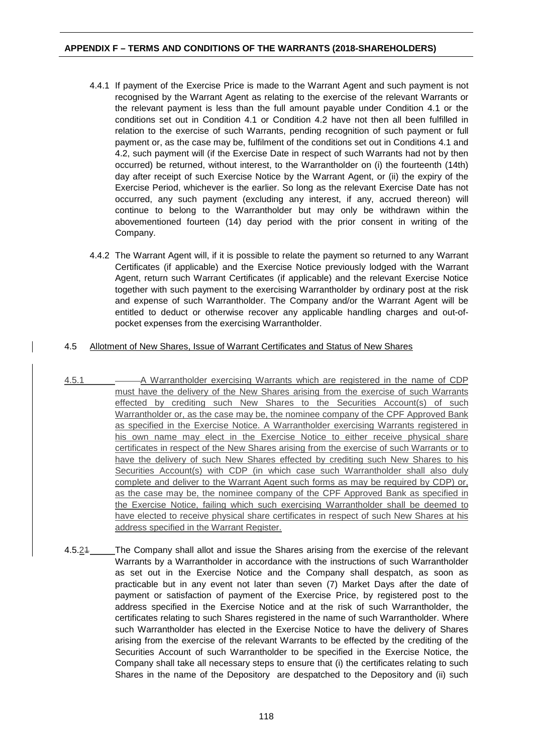# **APPENDIX F – TERMS AND CONDITIONS OF THE WARRANTS (2018-SHAREHOLDERS)**

- 4.4.1 If payment of the Exercise Price is made to the Warrant Agent and such payment is not recognised by the Warrant Agent as relating to the exercise of the relevant Warrants or the relevant payment is less than the full amount payable under Condition 4.1 or the conditions set out in Condition 4.1 or Condition 4.2 have not then all been fulfilled in relation to the exercise of such Warrants, pending recognition of such payment or full payment or, as the case may be, fulfilment of the conditions set out in Conditions 4.1 and 4.2, such payment will (if the Exercise Date in respect of such Warrants had not by then occurred) be returned, without interest, to the Warrantholder on (i) the fourteenth (14th) day after receipt of such Exercise Notice by the Warrant Agent, or (ii) the expiry of the Exercise Period, whichever is the earlier. So long as the relevant Exercise Date has not occurred, any such payment (excluding any interest, if any, accrued thereon) will continue to belong to the Warrantholder but may only be withdrawn within the abovementioned fourteen (14) day period with the prior consent in writing of the Company.
- 4.4.2 The Warrant Agent will, if it is possible to relate the payment so returned to any Warrant Certificates (if applicable) and the Exercise Notice previously lodged with the Warrant Agent, return such Warrant Certificates (if applicable) and the relevant Exercise Notice together with such payment to the exercising Warrantholder by ordinary post at the risk and expense of such Warrantholder. The Company and/or the Warrant Agent will be entitled to deduct or otherwise recover any applicable handling charges and out-ofpocket expenses from the exercising Warrantholder.

# 4.5 Allotment of New Shares, Issue of Warrant Certificates and Status of New Shares

- 4.5.1 A Warrantholder exercising Warrants which are registered in the name of CDP must have the delivery of the New Shares arising from the exercise of such Warrants effected by crediting such New Shares to the Securities Account(s) of such Warrantholder or, as the case may be, the nominee company of the CPF Approved Bank as specified in the Exercise Notice. A Warrantholder exercising Warrants registered in his own name may elect in the Exercise Notice to either receive physical share certificates in respect of the New Shares arising from the exercise of such Warrants or to have the delivery of such New Shares effected by crediting such New Shares to his Securities Account(s) with CDP (in which case such Warrantholder shall also duly complete and deliver to the Warrant Agent such forms as may be required by CDP) or, as the case may be, the nominee company of the CPF Approved Bank as specified in the Exercise Notice, failing which such exercising Warrantholder shall be deemed to have elected to receive physical share certificates in respect of such New Shares at his address specified in the Warrant Register.
- 4.5.21 The Company shall allot and issue the Shares arising from the exercise of the relevant Warrants by a Warrantholder in accordance with the instructions of such Warrantholder as set out in the Exercise Notice and the Company shall despatch, as soon as practicable but in any event not later than seven (7) Market Days after the date of payment or satisfaction of payment of the Exercise Price, by registered post to the address specified in the Exercise Notice and at the risk of such Warrantholder, the certificates relating to such Shares registered in the name of such Warrantholder. Where such Warrantholder has elected in the Exercise Notice to have the delivery of Shares arising from the exercise of the relevant Warrants to be effected by the crediting of the Securities Account of such Warrantholder to be specified in the Exercise Notice, the Company shall take all necessary steps to ensure that (i) the certificates relating to such Shares in the name of the Depository are despatched to the Depository and (ii) such